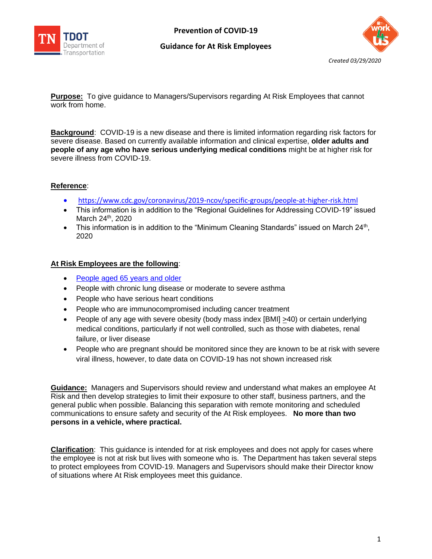

### **Guidance for At Risk Employees**



**Purpose:** To give guidance to Managers/Supervisors regarding At Risk Employees that cannot work from home.

**Background**: COVID-19 is a new disease and there is limited information regarding risk factors for severe disease. Based on currently available information and clinical expertise, **older adults and people of any age who have serious underlying medical conditions** might be at higher risk for severe illness from COVID-19.

# **Reference**:

- <https://www.cdc.gov/coronavirus/2019-ncov/specific-groups/people-at-higher-risk.html>
- This information is in addition to the "Regional Guidelines for Addressing COVID-19" issued March 24<sup>th</sup>, 2020
- This information is in addition to the "Minimum Cleaning Standards" issued on March  $24<sup>th</sup>$ , 2020

## **At Risk Employees are the following**:

- [People aged 65 years and older](https://www.cdc.gov/coronavirus/2019-ncov/specific-groups/high-risk-complications/older-adults.html)
- People with chronic lung disease or moderate to severe asthma
- People who have serious heart conditions
- People who are immunocompromised including cancer treatment
- People of any age with severe obesity (body mass index [BMI] >40) or certain underlying medical conditions, particularly if not well controlled, such as those with diabetes, renal failure, or liver disease
- People who are pregnant should be monitored since they are known to be at risk with severe viral illness, however, to date data on COVID-19 has not shown increased risk

**Guidance:** Managers and Supervisors should review and understand what makes an employee At Risk and then develop strategies to limit their exposure to other staff, business partners, and the general public when possible. Balancing this separation with remote monitoring and scheduled communications to ensure safety and security of the At Risk employees. **No more than two persons in a vehicle, where practical.**

**Clarification**: This guidance is intended for at risk employees and does not apply for cases where the employee is not at risk but lives with someone who is. The Department has taken several steps to protect employees from COVID-19. Managers and Supervisors should make their Director know of situations where At Risk employees meet this guidance.